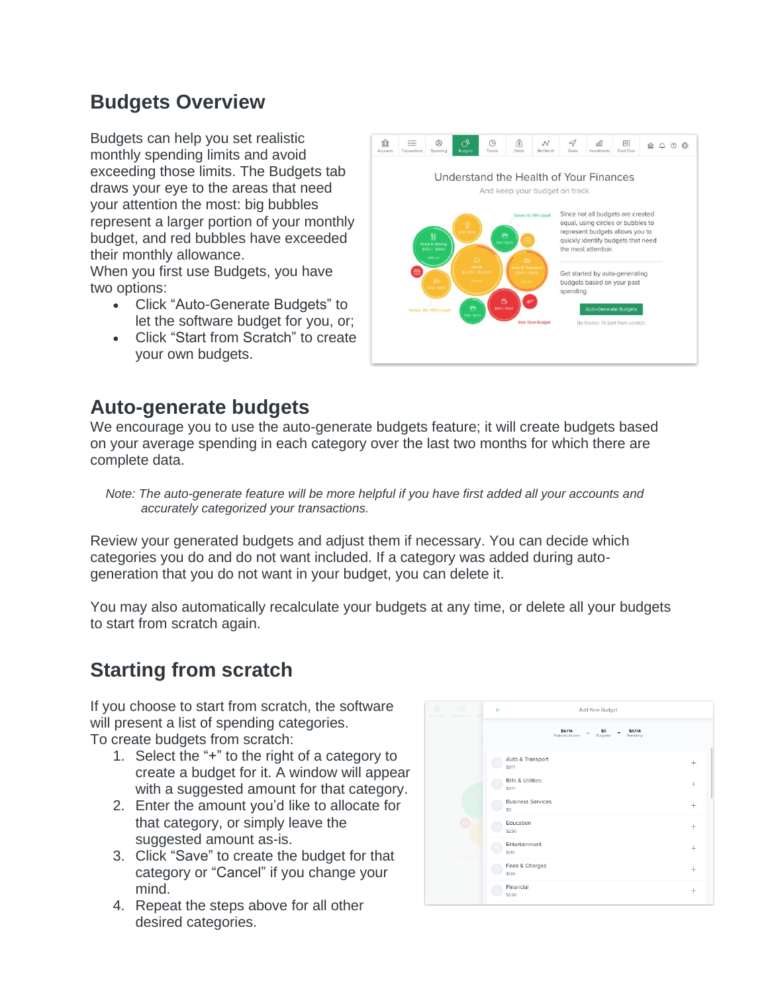# **Budgets Overview**

Budgets can help you set realistic monthly spending limits and avoid exceeding those limits. The Budgets tab draws your eye to the areas that need your attention the most: big bubbles represent a larger portion of your monthly budget, and red bubbles have exceeded their monthly allowance.

When you first use Budgets, you have two options:

- Click "Auto-Generate Budgets" to let the software budget for you, or;
- Click "Start from Scratch" to create your own budgets.



#### **Auto-generate budgets**

We encourage you to use the auto-generate budgets feature; it will create budgets based on your average spending in each category over the last two months for which there are complete data.

*Note: The auto-generate feature will be more helpful if you have first added all your accounts and accurately categorized your transactions.*

Review your generated budgets and adjust them if necessary. You can decide which categories you do and do not want included. If a category was added during autogeneration that you do not want in your budget, you can delete it.

You may also automatically recalculate your budgets at any time, or delete all your budgets to start from scratch again.

# **Starting from scratch**

If you choose to start from scratch, the software will present a list of spending categories.

To create budgets from scratch:

- 1. Select the "+" to the right of a category to create a budget for it. A window will appear with a suggested amount for that category.
- 2. Enter the amount you'd like to allocate for that category, or simply leave the suggested amount as-is.
- 3. Click "Save" to create the budget for that category or "Cancel" if you change your mind.
- 4. Repeat the steps above for all other desired categories.

| 命<br>這<br>Accounts<br>Transactions<br>Sd | $\leftarrow$<br>Add New Budget                                                     |                    |
|------------------------------------------|------------------------------------------------------------------------------------|--------------------|
|                                          | \$6,114<br>\$0<br>\$6,114<br>$\equiv$<br>Projected Income<br>Budgeted<br>Remaining |                    |
|                                          | Auto & Transport<br>S917                                                           | $^{+}$             |
|                                          | <b>Bills &amp; Utilities</b><br>\$371                                              | $+$                |
|                                          | <b>Business Services</b><br>SO                                                     | ÷                  |
|                                          | Education<br>\$250                                                                 | $^{+}$             |
|                                          | Entertainment<br>\$119                                                             | $\hspace{0.1mm} +$ |
|                                          | Fees & Charges<br>\$134                                                            | $\pm$              |
|                                          | Financial<br>\$550                                                                 | $^{+}$             |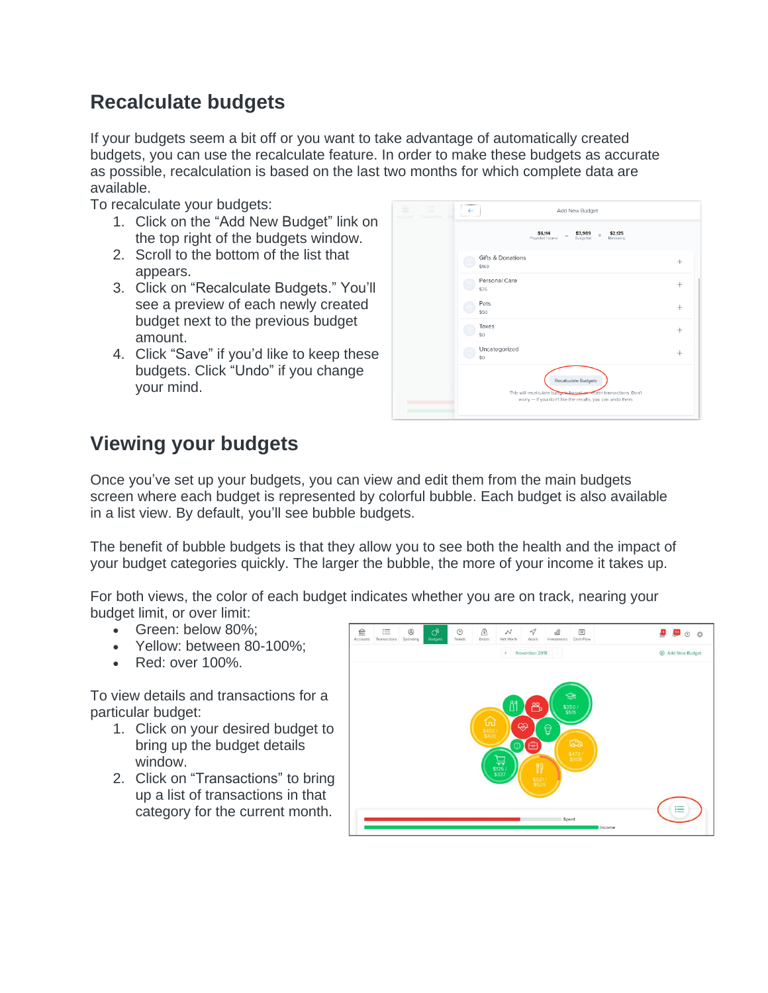# **Recalculate budgets**

If your budgets seem a bit off or you want to take advantage of automatically created budgets, you can use the recalculate feature. In order to make these budgets as accurate as possible, recalculation is based on the last two months for which complete data are available.

To recalculate your budgets:

- 1. Click on the "Add New Budget" link on the top right of the budgets window.
- 2. Scroll to the bottom of the list that appears.
- 3. Click on "Recalculate Budgets." You'll see a preview of each newly created budget next to the previous budget amount.
- 4. Click "Save" if you'd like to keep these budgets. Click "Undo" if you change your mind.

| 血<br>三<br>Accounts Transactions<br>Sd | Add New Budget<br>$\leftarrow$                                                                                                                        |           |
|---------------------------------------|-------------------------------------------------------------------------------------------------------------------------------------------------------|-----------|
|                                       | \$6,114<br>\$2,125<br>\$3,989<br>$=$<br>Projected Income<br>Budgeted<br>Remaining                                                                     |           |
|                                       | Gifts & Donations<br>\$169                                                                                                                            | $\ddot{}$ |
|                                       | Personal Care<br>\$76                                                                                                                                 | $^+$      |
|                                       | Pets<br>\$50                                                                                                                                          | $^{+}$    |
|                                       | Taxes<br>\$0                                                                                                                                          | $^{+}$    |
|                                       | Uncategorized<br>\$0                                                                                                                                  | $^+$      |
|                                       | Recalculate Budgets<br>This will recalculate budgets based on recent transactions. Don't<br>worry - if you don't like the results, you can undo them. |           |

# **Viewing your budgets**

Once you've set up your budgets, you can view and edit them from the main budgets screen where each budget is represented by colorful bubble. Each budget is also available in a list view. By default, you'll see bubble budgets.

The benefit of bubble budgets is that they allow you to see both the health and the impact of your budget categories quickly. The larger the bubble, the more of your income it takes up.

For both views, the color of each budget indicates whether you are on track, nearing your budget limit, or over limit:

- Green: below 80%;
- Yellow: between 80-100%;
- Red: over 100%.

To view details and transactions for a particular budget:

- 1. Click on your desired budget to bring up the budget details window.
- 2. Click on "Transactions" to bring up a list of transactions in that category for the current month.

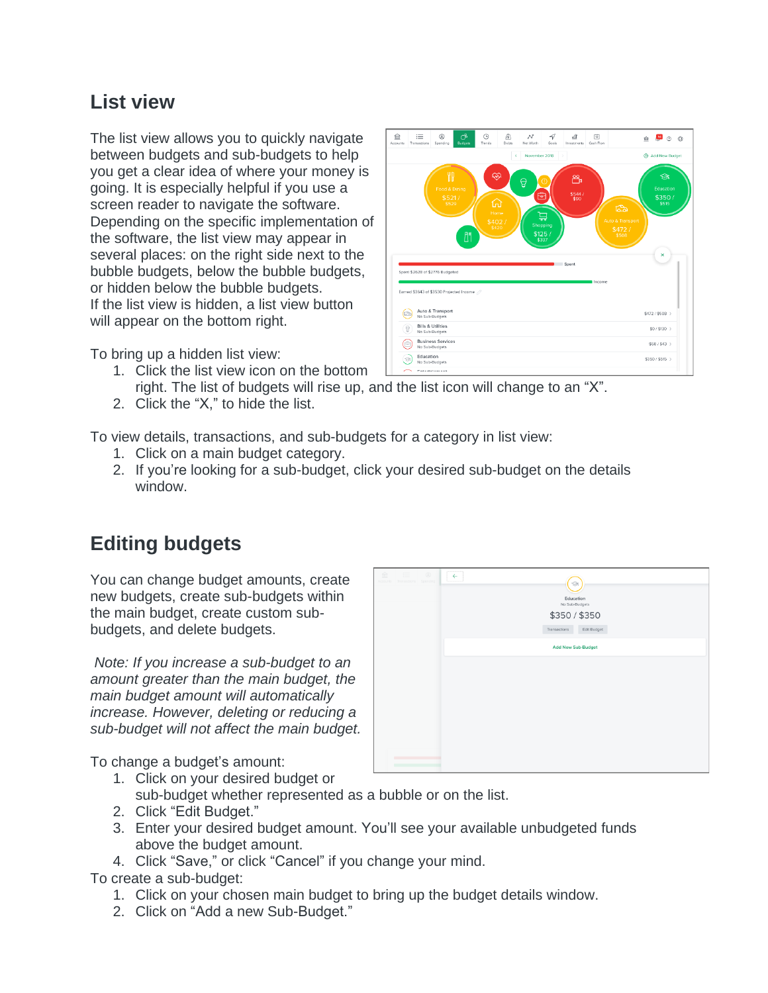#### **List view**

The list view allows you to quickly navigate between budgets and sub-budgets to help you get a clear idea of where your money is going. It is especially helpful if you use a screen reader to navigate the software. Depending on the specific implementation of the software, the list view may appear in several places: on the right side next to the bubble budgets, below the bubble budgets, or hidden below the bubble budgets. If the list view is hidden, a list view button will appear on the bottom right.

To bring up a hidden list view:

- 1. Click the list view icon on the bottom right. The list of budgets will rise up, and the list icon will change to an "X".
- 2. Click the "X," to hide the list.

To view details, transactions, and sub-budgets for a category in list view:

- 1. Click on a main budget category.
- 2. If you're looking for a sub-budget, click your desired sub-budget on the details window.

# **Editing budgets**

You can change budget amounts, create new budgets, create sub-budgets within the main budget, create custom subbudgets, and delete budgets.

*Note: If you increase a sub-budget to an amount greater than the main budget, the main budget amount will automatically increase. However, deleting or reducing a sub-budget will not affect the main budget.*  $\leftarrow$  $(\circledast)$ Education \$350 / \$350 sactions Edit Budget **Add New Sub-Budget** 

To change a budget's amount:

- 1. Click on your desired budget or sub-budget whether represented as a bubble or on the list.
- 2. Click "Edit Budget."
- 3. Enter your desired budget amount. You'll see your available unbudgeted funds above the budget amount.
- 4. Click "Save," or click "Cancel" if you change your mind.

To create a sub-budget:

- 1. Click on your chosen main budget to bring up the budget details window.
- 2. Click on "Add a new Sub-Budget."